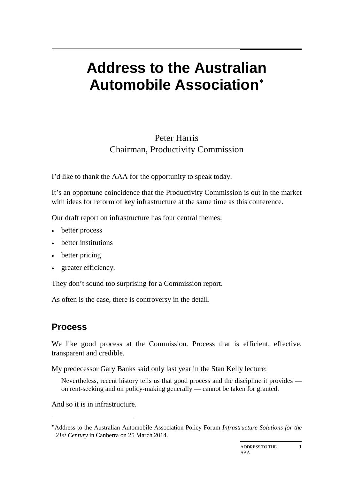# **Address to the Australian Automobile Association**[∗](#page-0-0)

#### Peter Harris Chairman, Productivity Commission

I'd like to thank the AAA for the opportunity to speak today.

It's an opportune coincidence that the Productivity Commission is out in the market with ideas for reform of key infrastructure at the same time as this conference.

Our draft report on infrastructure has four central themes:

- better process
- better institutions
- better pricing
- greater efficiency.

They don't sound too surprising for a Commission report.

As often is the case, there is controversy in the detail.

#### **Process**

-

We like good process at the Commission. Process that is efficient, effective, transparent and credible.

My predecessor Gary Banks said only last year in the Stan Kelly lecture:

Nevertheless, recent history tells us that good process and the discipline it provides on rent-seeking and on policy-making generally — cannot be taken for granted.

And so it is in infrastructure.

<span id="page-0-0"></span><sup>∗</sup>Address to the Australian Automobile Association Policy Forum *Infrastructure Solutions for the 21st Century* in Canberra on 25 March 2014.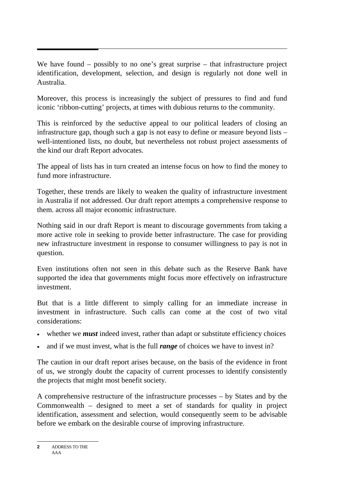We have found – possibly to no one's great surprise – that infrastructure project identification, development, selection, and design is regularly not done well in Australia.

Moreover, this process is increasingly the subject of pressures to find and fund iconic 'ribbon-cutting' projects, at times with dubious returns to the community.

This is reinforced by the seductive appeal to our political leaders of closing an infrastructure gap, though such a gap is not easy to define or measure beyond lists – well-intentioned lists, no doubt, but nevertheless not robust project assessments of the kind our draft Report advocates.

The appeal of lists has in turn created an intense focus on how to find the money to fund more infrastructure.

Together, these trends are likely to weaken the quality of infrastructure investment in Australia if not addressed. Our draft report attempts a comprehensive response to them. across all major economic infrastructure.

Nothing said in our draft Report is meant to discourage governments from taking a more active role in seeking to provide better infrastructure. The case for providing new infrastructure investment in response to consumer willingness to pay is not in question.

Even institutions often not seen in this debate such as the Reserve Bank have supported the idea that governments might focus more effectively on infrastructure investment.

But that is a little different to simply calling for an immediate increase in investment in infrastructure. Such calls can come at the cost of two vital considerations:

- whether we *must* indeed invest, rather than adapt or substitute efficiency choices
- and if we must invest, what is the full *range* of choices we have to invest in?

The caution in our draft report arises because, on the basis of the evidence in front of us, we strongly doubt the capacity of current processes to identify consistently the projects that might most benefit society.

A comprehensive restructure of the infrastructure processes – by States and by the Commonwealth – designed to meet a set of standards for quality in project identification, assessment and selection, would consequently seem to be advisable before we embark on the desirable course of improving infrastructure.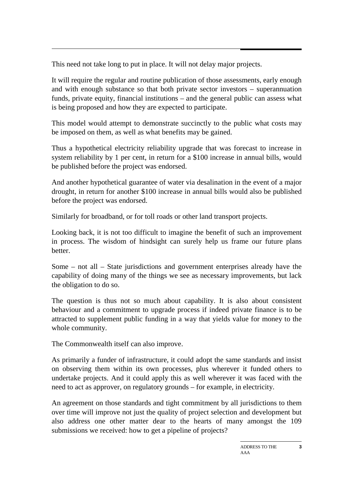This need not take long to put in place. It will not delay major projects.

It will require the regular and routine publication of those assessments, early enough and with enough substance so that both private sector investors – superannuation funds, private equity, financial institutions – and the general public can assess what is being proposed and how they are expected to participate.

This model would attempt to demonstrate succinctly to the public what costs may be imposed on them, as well as what benefits may be gained.

Thus a hypothetical electricity reliability upgrade that was forecast to increase in system reliability by 1 per cent, in return for a \$100 increase in annual bills, would be published before the project was endorsed.

And another hypothetical guarantee of water via desalination in the event of a major drought, in return for another \$100 increase in annual bills would also be published before the project was endorsed.

Similarly for broadband, or for toll roads or other land transport projects.

Looking back, it is not too difficult to imagine the benefit of such an improvement in process. The wisdom of hindsight can surely help us frame our future plans better.

Some – not all – State jurisdictions and government enterprises already have the capability of doing many of the things we see as necessary improvements, but lack the obligation to do so.

The question is thus not so much about capability. It is also about consistent behaviour and a commitment to upgrade process if indeed private finance is to be attracted to supplement public funding in a way that yields value for money to the whole community.

The Commonwealth itself can also improve.

As primarily a funder of infrastructure, it could adopt the same standards and insist on observing them within its own processes, plus wherever it funded others to undertake projects. And it could apply this as well wherever it was faced with the need to act as approver, on regulatory grounds – for example, in electricity.

An agreement on those standards and tight commitment by all jurisdictions to them over time will improve not just the quality of project selection and development but also address one other matter dear to the hearts of many amongst the 109 submissions we received: how to get a pipeline of projects?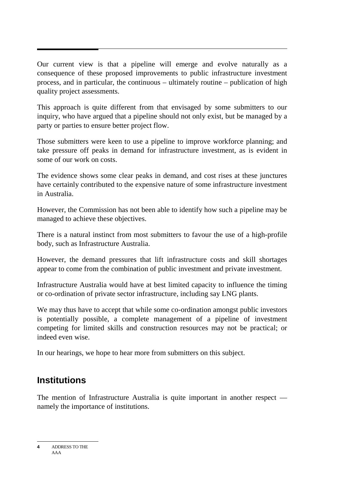Our current view is that a pipeline will emerge and evolve naturally as a consequence of these proposed improvements to public infrastructure investment process, and in particular, the continuous – ultimately routine – publication of high quality project assessments.

This approach is quite different from that envisaged by some submitters to our inquiry, who have argued that a pipeline should not only exist, but be managed by a party or parties to ensure better project flow.

Those submitters were keen to use a pipeline to improve workforce planning; and take pressure off peaks in demand for infrastructure investment, as is evident in some of our work on costs.

The evidence shows some clear peaks in demand, and cost rises at these junctures have certainly contributed to the expensive nature of some infrastructure investment in Australia.

However, the Commission has not been able to identify how such a pipeline may be managed to achieve these objectives.

There is a natural instinct from most submitters to favour the use of a high-profile body, such as Infrastructure Australia.

However, the demand pressures that lift infrastructure costs and skill shortages appear to come from the combination of public investment and private investment.

Infrastructure Australia would have at best limited capacity to influence the timing or co-ordination of private sector infrastructure, including say LNG plants.

We may thus have to accept that while some co-ordination amongst public investors is potentially possible, a complete management of a pipeline of investment competing for limited skills and construction resources may not be practical; or indeed even wise.

In our hearings, we hope to hear more from submitters on this subject.

#### **Institutions**

The mention of Infrastructure Australia is quite important in another respect namely the importance of institutions.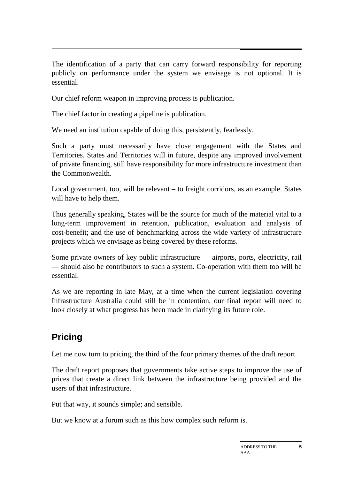The identification of a party that can carry forward responsibility for reporting publicly on performance under the system we envisage is not optional. It is essential.

Our chief reform weapon in improving process is publication.

The chief factor in creating a pipeline is publication.

We need an institution capable of doing this, persistently, fearlessly.

Such a party must necessarily have close engagement with the States and Territories. States and Territories will in future, despite any improved involvement of private financing, still have responsibility for more infrastructure investment than the Commonwealth.

Local government, too, will be relevant – to freight corridors, as an example. States will have to help them.

Thus generally speaking, States will be the source for much of the material vital to a long-term improvement in retention, publication, evaluation and analysis of cost-benefit; and the use of benchmarking across the wide variety of infrastructure projects which we envisage as being covered by these reforms.

Some private owners of key public infrastructure — airports, ports, electricity, rail — should also be contributors to such a system. Co-operation with them too will be essential.

As we are reporting in late May, at a time when the current legislation covering Infrastructure Australia could still be in contention, our final report will need to look closely at what progress has been made in clarifying its future role.

## **Pricing**

Let me now turn to pricing, the third of the four primary themes of the draft report.

The draft report proposes that governments take active steps to improve the use of prices that create a direct link between the infrastructure being provided and the users of that infrastructure.

Put that way, it sounds simple; and sensible.

But we know at a forum such as this how complex such reform is.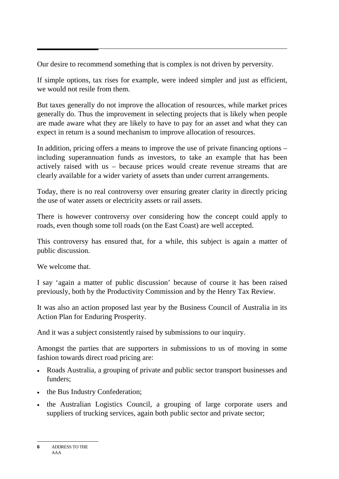Our desire to recommend something that is complex is not driven by perversity.

If simple options, tax rises for example, were indeed simpler and just as efficient, we would not resile from them.

But taxes generally do not improve the allocation of resources, while market prices generally do. Thus the improvement in selecting projects that is likely when people are made aware what they are likely to have to pay for an asset and what they can expect in return is a sound mechanism to improve allocation of resources.

In addition, pricing offers a means to improve the use of private financing options – including superannuation funds as investors, to take an example that has been actively raised with us – because prices would create revenue streams that are clearly available for a wider variety of assets than under current arrangements.

Today, there is no real controversy over ensuring greater clarity in directly pricing the use of water assets or electricity assets or rail assets.

There is however controversy over considering how the concept could apply to roads, even though some toll roads (on the East Coast) are well accepted.

This controversy has ensured that, for a while, this subject is again a matter of public discussion.

We welcome that.

I say 'again a matter of public discussion' because of course it has been raised previously, both by the Productivity Commission and by the Henry Tax Review.

It was also an action proposed last year by the Business Council of Australia in its Action Plan for Enduring Prosperity.

And it was a subject consistently raised by submissions to our inquiry.

Amongst the parties that are supporters in submissions to us of moving in some fashion towards direct road pricing are:

- Roads Australia, a grouping of private and public sector transport businesses and funders;
- the Bus Industry Confederation;
- the Australian Logistics Council, a grouping of large corporate users and suppliers of trucking services, again both public sector and private sector;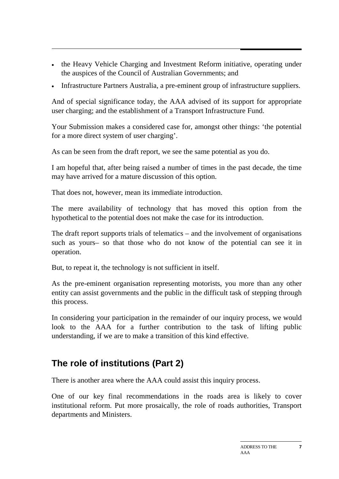- the Heavy Vehicle Charging and Investment Reform initiative, operating under the auspices of the Council of Australian Governments; and
- Infrastructure Partners Australia, a pre-eminent group of infrastructure suppliers.

And of special significance today, the AAA advised of its support for appropriate user charging; and the establishment of a Transport Infrastructure Fund.

Your Submission makes a considered case for, amongst other things: 'the potential for a more direct system of user charging'.

As can be seen from the draft report, we see the same potential as you do.

I am hopeful that, after being raised a number of times in the past decade, the time may have arrived for a mature discussion of this option.

That does not, however, mean its immediate introduction.

The mere availability of technology that has moved this option from the hypothetical to the potential does not make the case for its introduction.

The draft report supports trials of telematics – and the involvement of organisations such as yours– so that those who do not know of the potential can see it in operation.

But, to repeat it, the technology is not sufficient in itself.

As the pre-eminent organisation representing motorists, you more than any other entity can assist governments and the public in the difficult task of stepping through this process.

In considering your participation in the remainder of our inquiry process, we would look to the AAA for a further contribution to the task of lifting public understanding, if we are to make a transition of this kind effective.

## **The role of institutions (Part 2)**

There is another area where the AAA could assist this inquiry process.

One of our key final recommendations in the roads area is likely to cover institutional reform. Put more prosaically, the role of roads authorities, Transport departments and Ministers.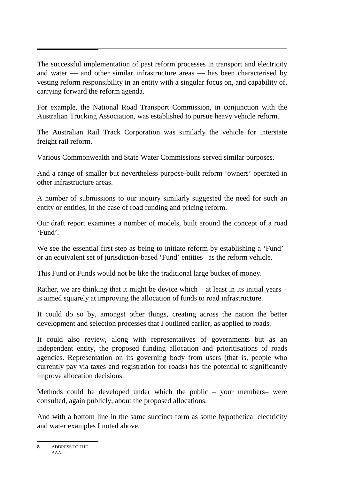The successful implementation of past reform processes in transport and electricity and water — and other similar infrastructure areas — has been characterised by vesting reform responsibility in an entity with a singular focus on, and capability of, carrying forward the reform agenda.

For example, the National Road Transport Commission, in conjunction with the Australian Trucking Association, was established to pursue heavy vehicle reform.

The Australian Rail Track Corporation was similarly the vehicle for interstate freight rail reform.

Various Commonwealth and State Water Commissions served similar purposes.

And a range of smaller but nevertheless purpose-built reform 'owners' operated in other infrastructure areas.

A number of submissions to our inquiry similarly suggested the need for such an entity or entities, in the case of road funding and pricing reform.

Our draft report examines a number of models, built around the concept of a road 'Fund'.

We see the essential first step as being to initiate reform by establishing a 'Fund'– or an equivalent set of jurisdiction-based 'Fund' entities– as the reform vehicle.

This Fund or Funds would not be like the traditional large bucket of money.

Rather, we are thinking that it might be device which – at least in its initial years – is aimed squarely at improving the allocation of funds to road infrastructure.

It could do so by, amongst other things, creating across the nation the better development and selection processes that I outlined earlier, as applied to roads.

It could also review, along with representatives of governments but as an independent entity, the proposed funding allocation and prioritisations of roads agencies. Representation on its governing body from users (that is, people who currently pay via taxes and registration for roads) has the potential to significantly improve allocation decisions.

Methods could be developed under which the public – your members– were consulted, again publicly, about the proposed allocations.

And with a bottom line in the same succinct form as some hypothetical electricity and water examples I noted above.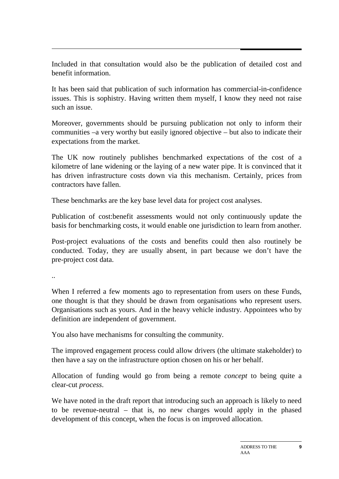Included in that consultation would also be the publication of detailed cost and benefit information.

It has been said that publication of such information has commercial-in-confidence issues. This is sophistry. Having written them myself, I know they need not raise such an issue.

Moreover, governments should be pursuing publication not only to inform their communities –a very worthy but easily ignored objective – but also to indicate their expectations from the market.

The UK now routinely publishes benchmarked expectations of the cost of a kilometre of lane widening or the laying of a new water pipe. It is convinced that it has driven infrastructure costs down via this mechanism. Certainly, prices from contractors have fallen.

These benchmarks are the key base level data for project cost analyses.

Publication of cost:benefit assessments would not only continuously update the basis for benchmarking costs, it would enable one jurisdiction to learn from another.

Post-project evaluations of the costs and benefits could then also routinely be conducted. Today, they are usually absent, in part because we don't have the pre-project cost data.

..

When I referred a few moments ago to representation from users on these Funds, one thought is that they should be drawn from organisations who represent users. Organisations such as yours. And in the heavy vehicle industry. Appointees who by definition are independent of government.

You also have mechanisms for consulting the community.

The improved engagement process could allow drivers (the ultimate stakeholder) to then have a say on the infrastructure option chosen on his or her behalf.

Allocation of funding would go from being a remote *concept* to being quite a clear-cut *process*.

We have noted in the draft report that introducing such an approach is likely to need to be revenue-neutral – that is, no new charges would apply in the phased development of this concept, when the focus is on improved allocation.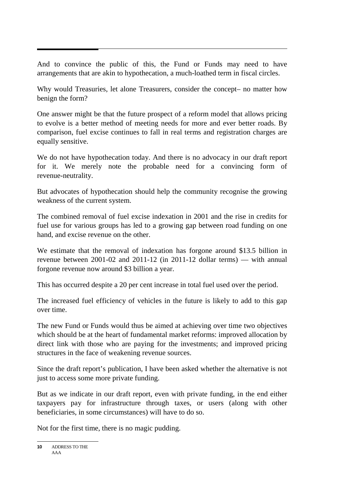And to convince the public of this, the Fund or Funds may need to have arrangements that are akin to hypothecation, a much-loathed term in fiscal circles.

Why would Treasuries, let alone Treasurers, consider the concept– no matter how benign the form?

One answer might be that the future prospect of a reform model that allows pricing to evolve is a better method of meeting needs for more and ever better roads. By comparison, fuel excise continues to fall in real terms and registration charges are equally sensitive.

We do not have hypothecation today. And there is no advocacy in our draft report for it. We merely note the probable need for a convincing form of revenue-neutrality.

But advocates of hypothecation should help the community recognise the growing weakness of the current system.

The combined removal of fuel excise indexation in 2001 and the rise in credits for fuel use for various groups has led to a growing gap between road funding on one hand, and excise revenue on the other.

We estimate that the removal of indexation has forgone around \$13.5 billion in revenue between 2001-02 and 2011-12 (in 2011-12 dollar terms) — with annual forgone revenue now around \$3 billion a year.

This has occurred despite a 20 per cent increase in total fuel used over the period.

The increased fuel efficiency of vehicles in the future is likely to add to this gap over time.

The new Fund or Funds would thus be aimed at achieving over time two objectives which should be at the heart of fundamental market reforms: improved allocation by direct link with those who are paying for the investments; and improved pricing structures in the face of weakening revenue sources.

Since the draft report's publication, I have been asked whether the alternative is not just to access some more private funding.

But as we indicate in our draft report, even with private funding, in the end either taxpayers pay for infrastructure through taxes, or users (along with other beneficiaries, in some circumstances) will have to do so.

Not for the first time, there is no magic pudding.

**<sup>10</sup>** ADDRESS TO THE AAA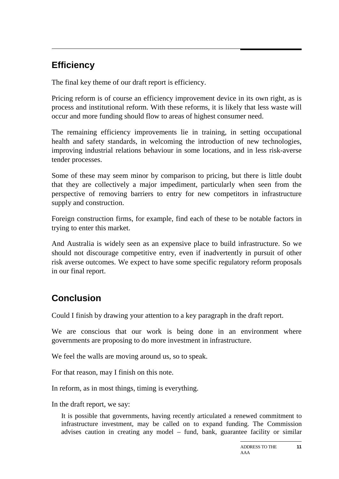## **Efficiency**

The final key theme of our draft report is efficiency.

Pricing reform is of course an efficiency improvement device in its own right, as is process and institutional reform. With these reforms, it is likely that less waste will occur and more funding should flow to areas of highest consumer need.

The remaining efficiency improvements lie in training, in setting occupational health and safety standards, in welcoming the introduction of new technologies, improving industrial relations behaviour in some locations, and in less risk-averse tender processes.

Some of these may seem minor by comparison to pricing, but there is little doubt that they are collectively a major impediment, particularly when seen from the perspective of removing barriers to entry for new competitors in infrastructure supply and construction.

Foreign construction firms, for example, find each of these to be notable factors in trying to enter this market.

And Australia is widely seen as an expensive place to build infrastructure. So we should not discourage competitive entry, even if inadvertently in pursuit of other risk averse outcomes. We expect to have some specific regulatory reform proposals in our final report.

## **Conclusion**

Could I finish by drawing your attention to a key paragraph in the draft report.

We are conscious that our work is being done in an environment where governments are proposing to do more investment in infrastructure.

We feel the walls are moving around us, so to speak.

For that reason, may I finish on this note.

In reform, as in most things, timing is everything.

In the draft report, we say:

It is possible that governments, having recently articulated a renewed commitment to infrastructure investment, may be called on to expand funding. The Commission advises caution in creating any model – fund, bank, guarantee facility or similar